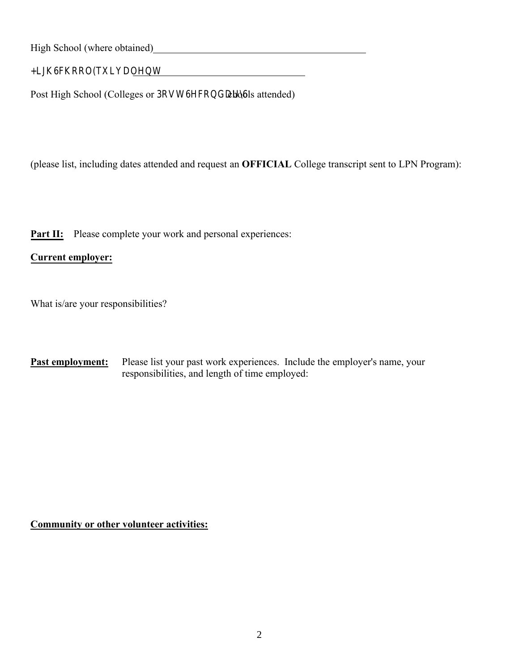High School (where obtained)

+LJK6FKRRO(TXLYDOHQW

Post High School (Colleges or 3RVW6HFRGDUbools attended)

(please list, including dates attended and request an **OFFICIAL** College transcript sent to LPN Program):

**Part II:** Please complete your work and personal experiences:

## **Current employer:**

What is/are your responsibilities?

**Past employment:** Please list your past work experiences. Include the employer's name, your responsibilities, and length of time employed:

**Community or other volunteer activities:**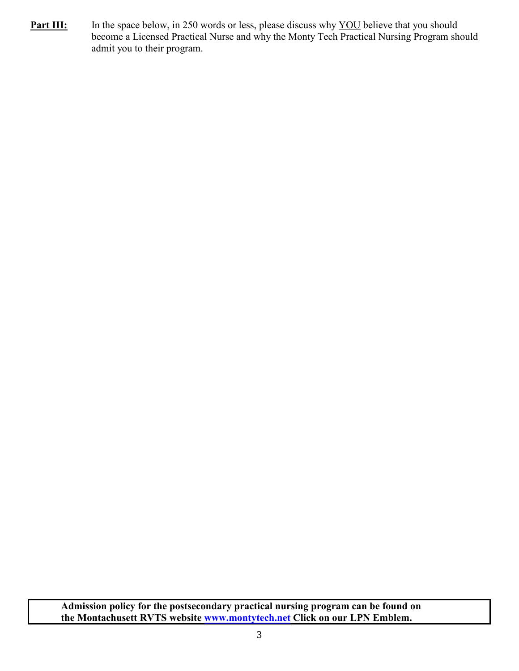**Part III:** In the space below, in 250 words or less, please discuss why YOU believe that you should become a Licensed Practical Nurse and why the Monty Tech Practical Nursing Program should admit you to their program.

**Admission policy for the postsecondary practical nursing program can be found on the Montachusett RVTS website [www.montytech.net](http://www.montytech.net/) Click on our LPN Emblem.**